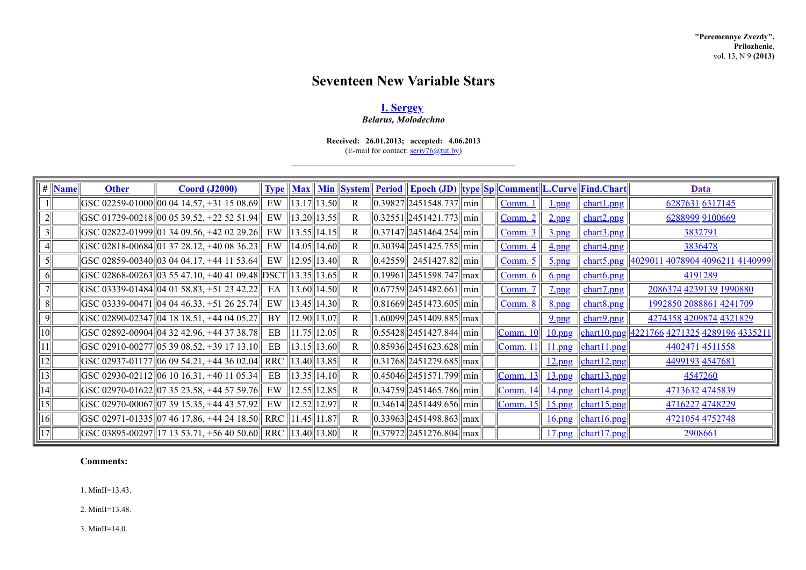# **Seventeen New Variable Stars**

## **I. [Sergey](http://www.astronet.ru/builder/preview/www.astronet.ru/db/varstars/author/12032)**

*Belarus, Molodechno*

### **Received: 26.01.2013; accepted: 4.06.2013** (E-mail for contact: [seriv76@tut.by\)](mailto:seriv76@tut.by)

| #  | <b>Name</b> | <b>Other</b> | <b>Coord (J2000)</b>                                              | <b>Type</b>        |                    | <b>Max</b> Min System | <b>Period</b> | <u>   Epoch (JD)   type  Sp  Comment  L.Curve  Find.Chart</u>        |                 |                           |                                                                                 | Data                                                      |
|----|-------------|--------------|-------------------------------------------------------------------|--------------------|--------------------|-----------------------|---------------|----------------------------------------------------------------------|-----------------|---------------------------|---------------------------------------------------------------------------------|-----------------------------------------------------------|
|    |             |              | GSC 02259-01000 00 04 14.57, +31 15 08.69                         | EW                 | $\ 13.17\ 13.50\ $ | R                     |               | $\left  0.39827 \right  2451548.737 \right  \min $                   | <u>Comm.</u>    | $_{\frac{1}{\text{png}}}$ | chart1.png                                                                      | 6287631 6317145                                           |
|    |             |              | GSC 01729-00218 00 05 39.52, +22 52 51.94                         | EW                 | $\ 13.20\ 13.55\ $ | R                     |               | $\left  0.32551 \right  \left  2451421.773 \right  \right  \min$     | <u>Comm. 2</u>  | $2$ .png                  | chart2.png                                                                      | 6288999 9100669                                           |
| 3  |             |              | GSC 02822-01999 01 34 09.56, +42 02 29.26                         | EW.                | $\ 13.55\ 14.15\ $ | R                     |               | $\ 0.37147\ 2451464.254\ $ min $\ $                                  | <u>Comm. 3</u>  | $3$ .png                  | chart3.png                                                                      | 3832791                                                   |
|    |             |              | $ GSC 02818-00684 01 37 28.12, +40 08 36.23 $                     | EW                 | $\ 14.05\ 14.60\ $ | R                     |               | $\left  0.30394 \right  \left  2451425.755 \right  \right  \min$     | <u>Comm. 4</u>  | $4$ png                   | chart4.png                                                                      | 3836478                                                   |
| 5  |             |              | $ GSC 02859-00340   03 04 04.17, +44 11 53.64 $                   | EW                 | $\ 12.95\ 13.40\ $ | R                     | 0.42559       | $2451427.82$   min                                                   | <u>Comm. 5</u>  | $5$ .png                  | chart5.png                                                                      | <u>  4029011 4078904 4096211 4140999</u>                  |
| 6  |             |              | $ GSC 02868 - 00263   03 55 47.10 $ , +40 41 09.48                | DSCT  13.35  13.65 |                    | R                     |               | 0.19961  2451598.747  max                                            | <u>Comm. 6</u>  | <u>6.png</u>              | chart6.png                                                                      | 4191289                                                   |
|    |             |              | $\vert$ GSC 03339-01484 $\vert$ 04 01 58.83, +51 23 42.22 $\vert$ | EA                 | $\ 13.60\ 14.50\ $ | R                     |               | $\left  0.67759 \right  2451482.661 \right  \min \left $             | Comm. 7         | $7$ png                   | chart7.png                                                                      | 2086374 4239139 1990880                                   |
| 8  |             |              | $\left  GSC 03339 - 00471 \right  04 04 46.33, +51 26 25.74$      | EW                 | $\ 13.45\ 14.30\ $ | R                     |               | $\left  0.81669 \right  2451473.605 \right  \min \left $             | Comm. 8         | <u>8.png</u>              | chart <sub>8.png</sub>                                                          | 1992850 2088861 4241709                                   |
| 9  |             |              | GSC 02890-02347 04 18 18.51, +44 04 05.27                         | BY                 | $\ 12.90\ 13.07\ $ | R                     |               | 1.60099  2451409.885  max                                            |                 | $9$ .png                  | chart9.png                                                                      | 4274358 4209874 4321829                                   |
| 10 |             |              | GSC 02892-00904  04 32 42.96, +44 37 38.78                        | EB                 | $\ 11.75\ 12.05\ $ | R                     |               | $\left  0.55428 \right  2451427.844$ min                             | <b>Comm. 10</b> |                           |                                                                                 | <u>10.png chart10.png 4221766 4271325 4289196 4335211</u> |
|    |             |              | GSC 02910-00277 05 39 08.52, +39 17 13.10                         | EB                 | $\ 13.15\ 13.60\ $ | R                     |               | $  0.85936  2451623.628  \text{min}  $                               | <b>Comm. 11</b> |                           | $11.png$   chart11.png                                                          | 4402471 4511558                                           |
| 12 |             |              | GSC 02937-01177  06 09 54.21, +44 36 02.04                        |                    | RRC   13.40  13.85 | R                     |               | $ 0.31768 $ 2451279.685   max                                        |                 |                           | $12$ .png $\left \frac{\text{chart12} \cdot \text{png}}{\text{chart12}}\right $ | 4499193 4547681                                           |
| 3  |             |              | GSC 02930-02112  06 10 16.31, +40 11 05.34                        | EB                 | $\ 13.35\ 14.10\ $ | R                     |               | $\ 0.45046\ 2451571.799\ $ min                                       | <b>Comm. 13</b> |                           | $13$ .png $\left \frac{\text{chart13.png}}{\text{chart13.png}}\right $          | 4547260                                                   |
| 14 |             |              | GSC 02970-01622  07 35 23.58, +44 57 59.76                        | EW                 | $\ 12.55\ 12.85\ $ | R                     |               | $\left  0.34759 \right  2451465.786$ min                             | <b>Comm. 14</b> |                           | 14.png chart14.png                                                              | 4713632 4745839                                           |
| 15 |             |              | $ \text{GSC } 02970 - 00067   07 39 15.35, +44 43 57.92 $         | EW                 | $\ 12.52\ 12.97\ $ | R                     |               | $\ 0.34614\ 2451449.656\ $ min $\ $                                  | <b>Comm. 15</b> |                           | 15.png chart15.png                                                              | 4716227 4748229                                           |
| 16 |             |              | GSC 02971-01335  07 46 17.86, +44 24 18.50                        |                    | RRC   11.45  11.87 | R                     |               | $\vert 0.33963 \vert \vert 2451498.863 \vert \vert \text{max} \vert$ |                 |                           | 16.png chart16.png                                                              | 4721054 4752748                                           |
| 17 |             |              | $\ \text{GSC 03895-00297}\ $ 17 13 53.71, +56 40 50.60 $\ $       |                    | RRC   13.40  13.80 | R                     |               | 0.37972  2451276.804  max                                            |                 |                           | $17$ .png $\left \frac{\text{chart17} \cdot \text{png}}{\text{chart17}}\right $ | 2908661                                                   |

## **Comments:**

1. MinII=13.43.

2. MinII=13.48.

3. MinII=14.0.